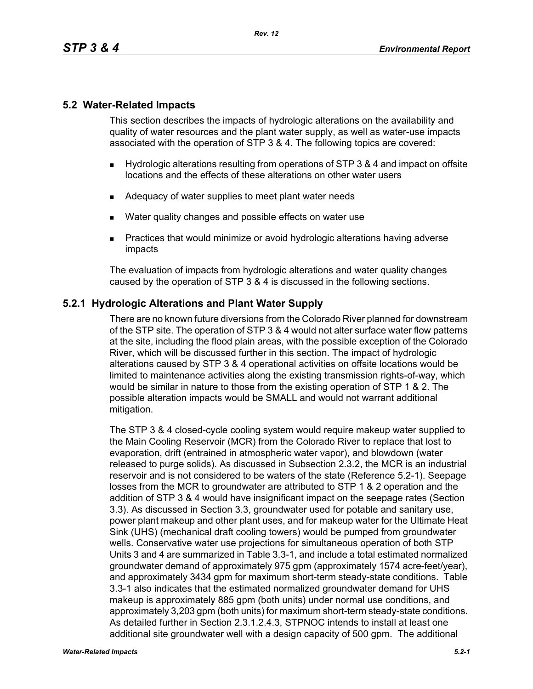# **5.2 Water-Related Impacts**

This section describes the impacts of hydrologic alterations on the availability and quality of water resources and the plant water supply, as well as water-use impacts associated with the operation of STP 3 & 4. The following topics are covered:

- Hydrologic alterations resulting from operations of STP 3 & 4 and impact on offsite locations and the effects of these alterations on other water users
- Adequacy of water supplies to meet plant water needs
- Water quality changes and possible effects on water use
- **Practices that would minimize or avoid hydrologic alterations having adverse** impacts

The evaluation of impacts from hydrologic alterations and water quality changes caused by the operation of STP 3 & 4 is discussed in the following sections.

# **5.2.1 Hydrologic Alterations and Plant Water Supply**

There are no known future diversions from the Colorado River planned for downstream of the STP site. The operation of STP 3 & 4 would not alter surface water flow patterns at the site, including the flood plain areas, with the possible exception of the Colorado River, which will be discussed further in this section. The impact of hydrologic alterations caused by STP 3 & 4 operational activities on offsite locations would be limited to maintenance activities along the existing transmission rights-of-way, which would be similar in nature to those from the existing operation of STP 1 & 2. The possible alteration impacts would be SMALL and would not warrant additional mitigation.

The STP 3 & 4 closed-cycle cooling system would require makeup water supplied to the Main Cooling Reservoir (MCR) from the Colorado River to replace that lost to evaporation, drift (entrained in atmospheric water vapor), and blowdown (water released to purge solids). As discussed in Subsection 2.3.2, the MCR is an industrial reservoir and is not considered to be waters of the state (Reference 5.2-1). Seepage losses from the MCR to groundwater are attributed to STP 1 & 2 operation and the addition of STP 3 & 4 would have insignificant impact on the seepage rates (Section 3.3). As discussed in Section 3.3, groundwater used for potable and sanitary use, power plant makeup and other plant uses, and for makeup water for the Ultimate Heat Sink (UHS) (mechanical draft cooling towers) would be pumped from groundwater wells. Conservative water use projections for simultaneous operation of both STP Units 3 and 4 are summarized in Table 3.3-1, and include a total estimated normalized groundwater demand of approximately 975 gpm (approximately 1574 acre-feet/year), and approximately 3434 gpm for maximum short-term steady-state conditions. Table 3.3-1 also indicates that the estimated normalized groundwater demand for UHS makeup is approximately 885 gpm (both units) under normal use conditions, and approximately 3,203 gpm (both units) for maximum short-term steady-state conditions. As detailed further in Section 2.3.1.2.4.3, STPNOC intends to install at least one additional site groundwater well with a design capacity of 500 gpm. The additional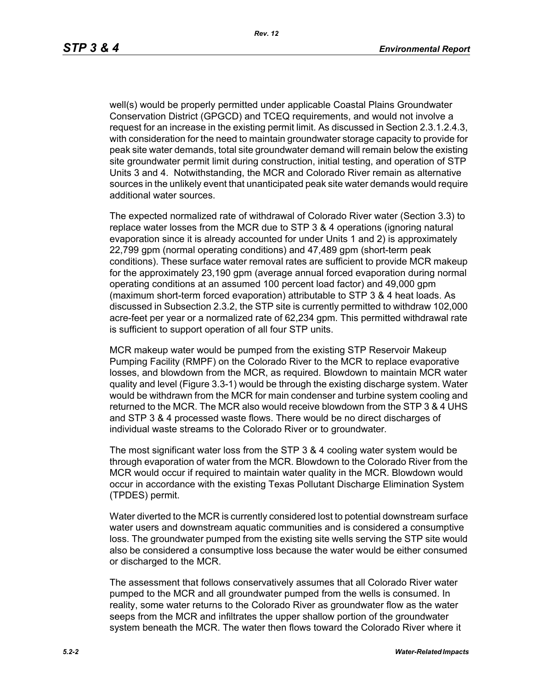well(s) would be properly permitted under applicable Coastal Plains Groundwater Conservation District (GPGCD) and TCEQ requirements, and would not involve a request for an increase in the existing permit limit. As discussed in Section 2.3.1.2.4.3, with consideration for the need to maintain groundwater storage capacity to provide for peak site water demands, total site groundwater demand will remain below the existing site groundwater permit limit during construction, initial testing, and operation of STP Units 3 and 4. Notwithstanding, the MCR and Colorado River remain as alternative sources in the unlikely event that unanticipated peak site water demands would require additional water sources.

The expected normalized rate of withdrawal of Colorado River water (Section 3.3) to replace water losses from the MCR due to STP 3 & 4 operations (ignoring natural evaporation since it is already accounted for under Units 1 and 2) is approximately 22,799 gpm (normal operating conditions) and 47,489 gpm (short-term peak conditions). These surface water removal rates are sufficient to provide MCR makeup for the approximately 23,190 gpm (average annual forced evaporation during normal operating conditions at an assumed 100 percent load factor) and 49,000 gpm (maximum short-term forced evaporation) attributable to STP 3 & 4 heat loads. As discussed in Subsection 2.3.2, the STP site is currently permitted to withdraw 102,000 acre-feet per year or a normalized rate of 62,234 gpm. This permitted withdrawal rate is sufficient to support operation of all four STP units.

MCR makeup water would be pumped from the existing STP Reservoir Makeup Pumping Facility (RMPF) on the Colorado River to the MCR to replace evaporative losses, and blowdown from the MCR, as required. Blowdown to maintain MCR water quality and level (Figure 3.3-1) would be through the existing discharge system. Water would be withdrawn from the MCR for main condenser and turbine system cooling and returned to the MCR. The MCR also would receive blowdown from the STP 3 & 4 UHS and STP 3 & 4 processed waste flows. There would be no direct discharges of individual waste streams to the Colorado River or to groundwater*.*

The most significant water loss from the STP 3 & 4 cooling water system would be through evaporation of water from the MCR. Blowdown to the Colorado River from the MCR would occur if required to maintain water quality in the MCR. Blowdown would occur in accordance with the existing Texas Pollutant Discharge Elimination System (TPDES) permit.

Water diverted to the MCR is currently considered lost to potential downstream surface water users and downstream aquatic communities and is considered a consumptive loss. The groundwater pumped from the existing site wells serving the STP site would also be considered a consumptive loss because the water would be either consumed or discharged to the MCR.

The assessment that follows conservatively assumes that all Colorado River water pumped to the MCR and all groundwater pumped from the wells is consumed. In reality, some water returns to the Colorado River as groundwater flow as the water seeps from the MCR and infiltrates the upper shallow portion of the groundwater system beneath the MCR. The water then flows toward the Colorado River where it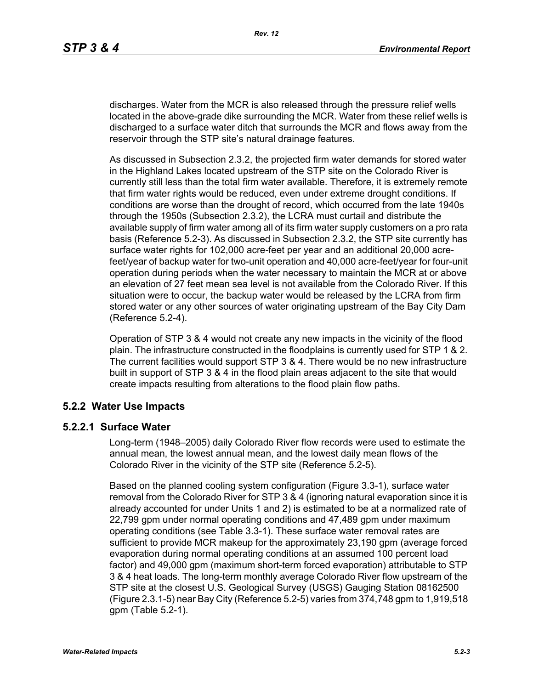discharges. Water from the MCR is also released through the pressure relief wells located in the above-grade dike surrounding the MCR. Water from these relief wells is discharged to a surface water ditch that surrounds the MCR and flows away from the reservoir through the STP site's natural drainage features.

As discussed in Subsection 2.3.2, the projected firm water demands for stored water in the Highland Lakes located upstream of the STP site on the Colorado River is currently still less than the total firm water available. Therefore, it is extremely remote that firm water rights would be reduced, even under extreme drought conditions. If conditions are worse than the drought of record, which occurred from the late 1940s through the 1950s (Subsection 2.3.2), the LCRA must curtail and distribute the available supply of firm water among all of its firm water supply customers on a pro rata basis (Reference 5.2-3). As discussed in Subsection 2.3.2, the STP site currently has surface water rights for 102,000 acre-feet per year and an additional 20,000 acrefeet/year of backup water for two-unit operation and 40,000 acre-feet/year for four-unit operation during periods when the water necessary to maintain the MCR at or above an elevation of 27 feet mean sea level is not available from the Colorado River. If this situation were to occur, the backup water would be released by the LCRA from firm stored water or any other sources of water originating upstream of the Bay City Dam (Reference 5.2-4).

Operation of STP 3 & 4 would not create any new impacts in the vicinity of the flood plain. The infrastructure constructed in the floodplains is currently used for STP 1 & 2. The current facilities would support STP 3 & 4. There would be no new infrastructure built in support of STP 3 & 4 in the flood plain areas adjacent to the site that would create impacts resulting from alterations to the flood plain flow paths.

## **5.2.2 Water Use Impacts**

#### **5.2.2.1 Surface Water**

Long-term (1948–2005) daily Colorado River flow records were used to estimate the annual mean, the lowest annual mean, and the lowest daily mean flows of the Colorado River in the vicinity of the STP site (Reference 5.2-5).

Based on the planned cooling system configuration (Figure 3.3-1), surface water removal from the Colorado River for STP 3 & 4 (ignoring natural evaporation since it is already accounted for under Units 1 and 2) is estimated to be at a normalized rate of 22,799 gpm under normal operating conditions and 47,489 gpm under maximum operating conditions (see Table 3.3-1). These surface water removal rates are sufficient to provide MCR makeup for the approximately 23,190 gpm (average forced evaporation during normal operating conditions at an assumed 100 percent load factor) and 49,000 gpm (maximum short-term forced evaporation) attributable to STP 3 & 4 heat loads. The long-term monthly average Colorado River flow upstream of the STP site at the closest U.S. Geological Survey (USGS) Gauging Station 08162500 (Figure 2.3.1-5) near Bay City (Reference 5.2-5) varies from 374,748 gpm to 1,919,518 gpm (Table 5.2-1).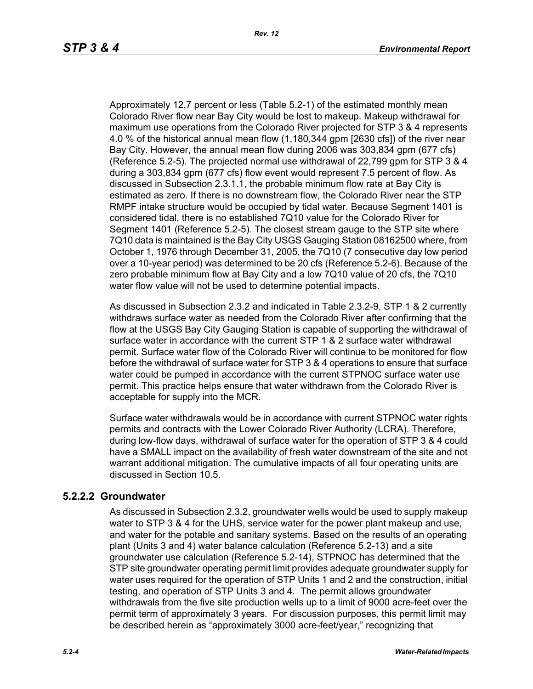Approximately 12.7 percent or less (Table 5.2-1) of the estimated monthly mean Colorado River flow near Bay City would be lost to makeup. Makeup withdrawal for maximum use operations from the Colorado River projected for STP 3 & 4 represents 4.0 % of the historical annual mean flow (1,180,344 gpm [2630 cfs]) of the river near Bay City. However, the annual mean flow during 2006 was 303,834 gpm (677 cfs) (Reference 5.2-5). The projected normal use withdrawal of 22,799 gpm for STP 3 & 4 during a 303,834 gpm (677 cfs) flow event would represent 7.5 percent of flow. As discussed in Subsection 2.3.1.1, the probable minimum flow rate at Bay City is estimated as zero. If there is no downstream flow, the Colorado River near the STP RMPF intake structure would be occupied by tidal water. Because Segment 1401 is considered tidal, there is no established 7Q10 value for the Colorado River for Segment 1401 (Reference 5.2-5). The closest stream gauge to the STP site where 7Q10 data is maintained is the Bay City USGS Gauging Station 08162500 where, from October 1, 1976 through December 31, 2005, the 7Q10 (7 consecutive day low period over a 10-year period) was determined to be 20 cfs (Reference 5.2-6). Because of the zero probable minimum flow at Bay City and a low 7Q10 value of 20 cfs, the 7Q10 water flow value will not be used to determine potential impacts.

As discussed in Subsection 2.3.2 and indicated in Table 2.3.2-9, STP 1 & 2 currently withdraws surface water as needed from the Colorado River after confirming that the flow at the USGS Bay City Gauging Station is capable of supporting the withdrawal of surface water in accordance with the current STP 1 & 2 surface water withdrawal permit. Surface water flow of the Colorado River will continue to be monitored for flow before the withdrawal of surface water for STP 3 & 4 operations to ensure that surface water could be pumped in accordance with the current STPNOC surface water use permit. This practice helps ensure that water withdrawn from the Colorado River is acceptable for supply into the MCR.

Surface water withdrawals would be in accordance with current STPNOC water rights permits and contracts with the Lower Colorado River Authority (LCRA). Therefore, during low-flow days, withdrawal of surface water for the operation of STP 3 & 4 could have a SMALL impact on the availability of fresh water downstream of the site and not warrant additional mitigation. The cumulative impacts of all four operating units are discussed in Section 10.5.

## **5.2.2.2 Groundwater**

As discussed in Subsection 2.3.2, groundwater wells would be used to supply makeup water to STP 3 & 4 for the UHS, service water for the power plant makeup and use. and water for the potable and sanitary systems. Based on the results of an operating plant (Units 3 and 4) water balance calculation (Reference 5.2-13) and a site groundwater use calculation (Reference 5.2-14), STPNOC has determined that the STP site groundwater operating permit limit provides adequate groundwater supply for water uses required for the operation of STP Units 1 and 2 and the construction, initial testing, and operation of STP Units 3 and 4. The permit allows groundwater withdrawals from the five site production wells up to a limit of 9000 acre-feet over the permit term of approximately 3 years. For discussion purposes, this permit limit may be described herein as "approximately 3000 acre-feet/year," recognizing that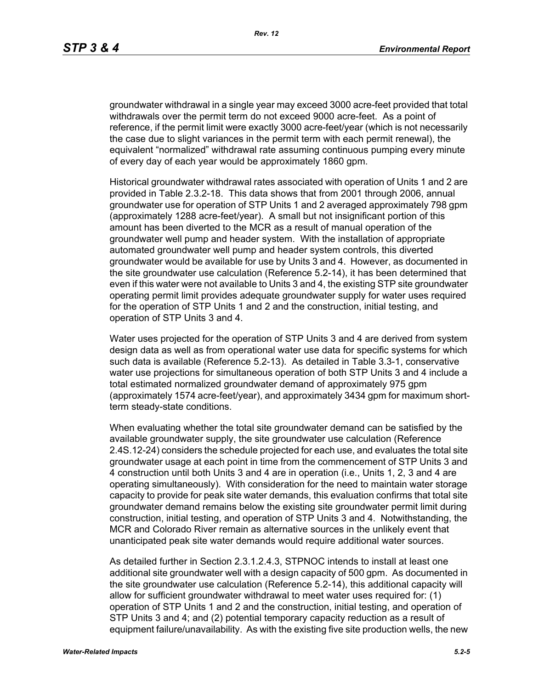groundwater withdrawal in a single year may exceed 3000 acre-feet provided that total withdrawals over the permit term do not exceed 9000 acre-feet. As a point of reference, if the permit limit were exactly 3000 acre-feet/year (which is not necessarily the case due to slight variances in the permit term with each permit renewal), the equivalent "normalized" withdrawal rate assuming continuous pumping every minute of every day of each year would be approximately 1860 gpm.

Historical groundwater withdrawal rates associated with operation of Units 1 and 2 are provided in Table 2.3.2-18. This data shows that from 2001 through 2006, annual groundwater use for operation of STP Units 1 and 2 averaged approximately 798 gpm (approximately 1288 acre-feet/year). A small but not insignificant portion of this amount has been diverted to the MCR as a result of manual operation of the groundwater well pump and header system. With the installation of appropriate automated groundwater well pump and header system controls, this diverted groundwater would be available for use by Units 3 and 4. However, as documented in the site groundwater use calculation (Reference 5.2-14), it has been determined that even if this water were not available to Units 3 and 4, the existing STP site groundwater operating permit limit provides adequate groundwater supply for water uses required for the operation of STP Units 1 and 2 and the construction, initial testing, and operation of STP Units 3 and 4.

Water uses projected for the operation of STP Units 3 and 4 are derived from system design data as well as from operational water use data for specific systems for which such data is available (Reference 5.2-13). As detailed in Table 3.3-1, conservative water use projections for simultaneous operation of both STP Units 3 and 4 include a total estimated normalized groundwater demand of approximately 975 gpm (approximately 1574 acre-feet/year), and approximately 3434 gpm for maximum shortterm steady-state conditions.

When evaluating whether the total site groundwater demand can be satisfied by the available groundwater supply, the site groundwater use calculation (Reference 2.4S.12-24) considers the schedule projected for each use, and evaluates the total site groundwater usage at each point in time from the commencement of STP Units 3 and 4 construction until both Units 3 and 4 are in operation (i.e., Units 1, 2, 3 and 4 are operating simultaneously). With consideration for the need to maintain water storage capacity to provide for peak site water demands, this evaluation confirms that total site groundwater demand remains below the existing site groundwater permit limit during construction, initial testing, and operation of STP Units 3 and 4. Notwithstanding, the MCR and Colorado River remain as alternative sources in the unlikely event that unanticipated peak site water demands would require additional water sources.

As detailed further in Section 2.3.1.2.4.3, STPNOC intends to install at least one additional site groundwater well with a design capacity of 500 gpm. As documented in the site groundwater use calculation (Reference 5.2-14), this additional capacity will allow for sufficient groundwater withdrawal to meet water uses required for: (1) operation of STP Units 1 and 2 and the construction, initial testing, and operation of STP Units 3 and 4; and (2) potential temporary capacity reduction as a result of equipment failure/unavailability. As with the existing five site production wells, the new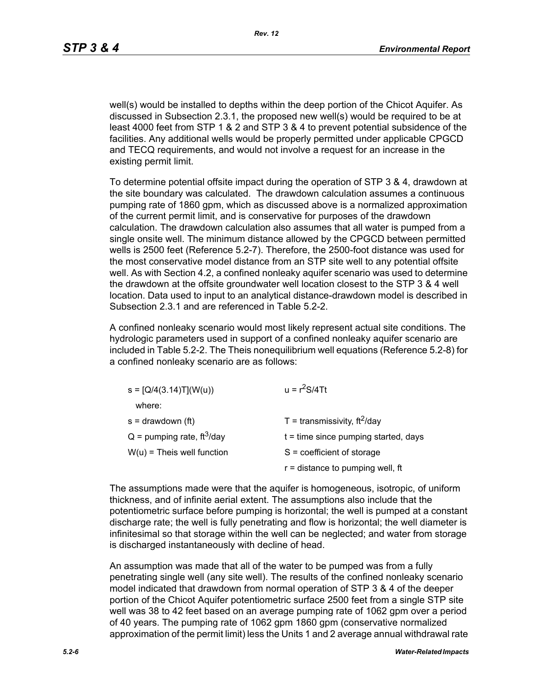well(s) would be installed to depths within the deep portion of the Chicot Aquifer. As discussed in Subsection 2.3.1, the proposed new well(s) would be required to be at least 4000 feet from STP 1 & 2 and STP 3 & 4 to prevent potential subsidence of the facilities. Any additional wells would be properly permitted under applicable CPGCD and TECQ requirements, and would not involve a request for an increase in the existing permit limit.

To determine potential offsite impact during the operation of STP 3 & 4, drawdown at the site boundary was calculated. The drawdown calculation assumes a continuous pumping rate of 1860 gpm, which as discussed above is a normalized approximation of the current permit limit, and is conservative for purposes of the drawdown calculation. The drawdown calculation also assumes that all water is pumped from a single onsite well. The minimum distance allowed by the CPGCD between permitted wells is 2500 feet (Reference 5.2-7). Therefore, the 2500-foot distance was used for the most conservative model distance from an STP site well to any potential offsite well. As with Section 4.2, a confined nonleaky aquifer scenario was used to determine the drawdown at the offsite groundwater well location closest to the STP 3 & 4 well location. Data used to input to an analytical distance-drawdown model is described in Subsection 2.3.1 and are referenced in Table 5.2-2.

A confined nonleaky scenario would most likely represent actual site conditions. The hydrologic parameters used in support of a confined nonleaky aquifer scenario are included in Table 5.2-2. The Theis nonequilibrium well equations (Reference 5.2-8) for a confined nonleaky scenario are as follows:

| $s = [Q/4(3.14)T](W(u))$                 | $u = r^2S/4Tt$                         |
|------------------------------------------|----------------------------------------|
| where:                                   |                                        |
| $s =$ drawdown (ft)                      | T = transmissivity, $ft^2$ /day        |
| $Q =$ pumping rate, ft <sup>3</sup> /day | $t =$ time since pumping started, days |
| $W(u)$ = Theis well function             | $S = coefficient of storage$           |
|                                          | $r =$ distance to pumping well, ft     |

The assumptions made were that the aquifer is homogeneous, isotropic, of uniform thickness, and of infinite aerial extent. The assumptions also include that the potentiometric surface before pumping is horizontal; the well is pumped at a constant discharge rate; the well is fully penetrating and flow is horizontal; the well diameter is infinitesimal so that storage within the well can be neglected; and water from storage is discharged instantaneously with decline of head.

An assumption was made that all of the water to be pumped was from a fully penetrating single well (any site well). The results of the confined nonleaky scenario model indicated that drawdown from normal operation of STP 3 & 4 of the deeper portion of the Chicot Aquifer potentiometric surface 2500 feet from a single STP site well was 38 to 42 feet based on an average pumping rate of 1062 gpm over a period of 40 years. The pumping rate of 1062 gpm 1860 gpm (conservative normalized approximation of the permit limit) less the Units 1 and 2 average annual withdrawal rate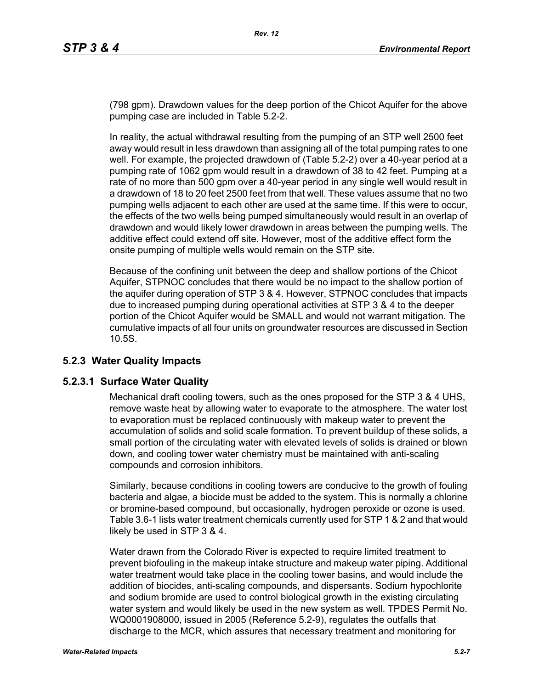(798 gpm). Drawdown values for the deep portion of the Chicot Aquifer for the above pumping case are included in Table 5.2-2.

In reality, the actual withdrawal resulting from the pumping of an STP well 2500 feet away would result in less drawdown than assigning all of the total pumping rates to one well. For example, the projected drawdown of (Table 5.2-2) over a 40-year period at a pumping rate of 1062 gpm would result in a drawdown of 38 to 42 feet. Pumping at a rate of no more than 500 gpm over a 40-year period in any single well would result in a drawdown of 18 to 20 feet 2500 feet from that well. These values assume that no two pumping wells adjacent to each other are used at the same time. If this were to occur, the effects of the two wells being pumped simultaneously would result in an overlap of drawdown and would likely lower drawdown in areas between the pumping wells. The additive effect could extend off site. However, most of the additive effect form the onsite pumping of multiple wells would remain on the STP site.

Because of the confining unit between the deep and shallow portions of the Chicot Aquifer, STPNOC concludes that there would be no impact to the shallow portion of the aquifer during operation of STP 3 & 4. However, STPNOC concludes that impacts due to increased pumping during operational activities at STP 3 & 4 to the deeper portion of the Chicot Aquifer would be SMALL and would not warrant mitigation. The cumulative impacts of all four units on groundwater resources are discussed in Section 10.5S.

## **5.2.3 Water Quality Impacts**

## **5.2.3.1 Surface Water Quality**

Mechanical draft cooling towers, such as the ones proposed for the STP 3 & 4 UHS, remove waste heat by allowing water to evaporate to the atmosphere. The water lost to evaporation must be replaced continuously with makeup water to prevent the accumulation of solids and solid scale formation. To prevent buildup of these solids, a small portion of the circulating water with elevated levels of solids is drained or blown down, and cooling tower water chemistry must be maintained with anti-scaling compounds and corrosion inhibitors.

Similarly, because conditions in cooling towers are conducive to the growth of fouling bacteria and algae, a biocide must be added to the system. This is normally a chlorine or bromine-based compound, but occasionally, hydrogen peroxide or ozone is used. Table 3.6-1 lists water treatment chemicals currently used for STP 1 & 2 and that would likely be used in STP 3 & 4.

Water drawn from the Colorado River is expected to require limited treatment to prevent biofouling in the makeup intake structure and makeup water piping. Additional water treatment would take place in the cooling tower basins, and would include the addition of biocides, anti-scaling compounds, and dispersants. Sodium hypochlorite and sodium bromide are used to control biological growth in the existing circulating water system and would likely be used in the new system as well. TPDES Permit No. WQ0001908000, issued in 2005 (Reference 5.2-9), regulates the outfalls that discharge to the MCR, which assures that necessary treatment and monitoring for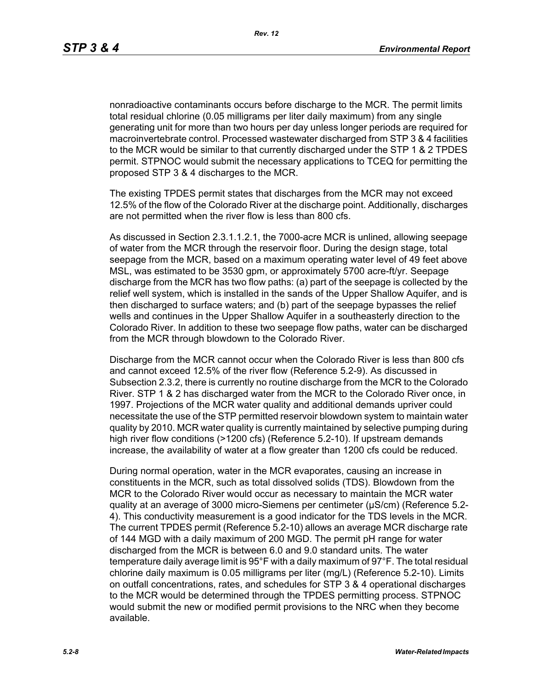nonradioactive contaminants occurs before discharge to the MCR. The permit limits total residual chlorine (0.05 milligrams per liter daily maximum) from any single generating unit for more than two hours per day unless longer periods are required for macroinvertebrate control. Processed wastewater discharged from STP 3 & 4 facilities to the MCR would be similar to that currently discharged under the STP 1 & 2 TPDES permit. STPNOC would submit the necessary applications to TCEQ for permitting the proposed STP 3 & 4 discharges to the MCR.

The existing TPDES permit states that discharges from the MCR may not exceed 12.5% of the flow of the Colorado River at the discharge point. Additionally, discharges are not permitted when the river flow is less than 800 cfs.

As discussed in Section 2.3.1.1.2.1, the 7000-acre MCR is unlined, allowing seepage of water from the MCR through the reservoir floor. During the design stage, total seepage from the MCR, based on a maximum operating water level of 49 feet above MSL, was estimated to be 3530 gpm, or approximately 5700 acre-ft/yr. Seepage discharge from the MCR has two flow paths: (a) part of the seepage is collected by the relief well system, which is installed in the sands of the Upper Shallow Aquifer, and is then discharged to surface waters; and (b) part of the seepage bypasses the relief wells and continues in the Upper Shallow Aquifer in a southeasterly direction to the Colorado River. In addition to these two seepage flow paths, water can be discharged from the MCR through blowdown to the Colorado River.

Discharge from the MCR cannot occur when the Colorado River is less than 800 cfs and cannot exceed 12.5% of the river flow (Reference 5.2-9). As discussed in Subsection 2.3.2, there is currently no routine discharge from the MCR to the Colorado River. STP 1 & 2 has discharged water from the MCR to the Colorado River once, in 1997. Projections of the MCR water quality and additional demands upriver could necessitate the use of the STP permitted reservoir blowdown system to maintain water quality by 2010. MCR water quality is currently maintained by selective pumping during high river flow conditions (>1200 cfs) (Reference 5.2-10). If upstream demands increase, the availability of water at a flow greater than 1200 cfs could be reduced.

During normal operation, water in the MCR evaporates, causing an increase in constituents in the MCR, such as total dissolved solids (TDS). Blowdown from the MCR to the Colorado River would occur as necessary to maintain the MCR water quality at an average of 3000 micro-Siemens per centimeter (µS/cm) (Reference 5.2- 4). This conductivity measurement is a good indicator for the TDS levels in the MCR. The current TPDES permit (Reference 5.2-10) allows an average MCR discharge rate of 144 MGD with a daily maximum of 200 MGD. The permit pH range for water discharged from the MCR is between 6.0 and 9.0 standard units. The water temperature daily average limit is 95°F with a daily maximum of 97°F. The total residual chlorine daily maximum is 0.05 milligrams per liter (mg/L) (Reference 5.2-10). Limits on outfall concentrations, rates, and schedules for STP 3 & 4 operational discharges to the MCR would be determined through the TPDES permitting process. STPNOC would submit the new or modified permit provisions to the NRC when they become available.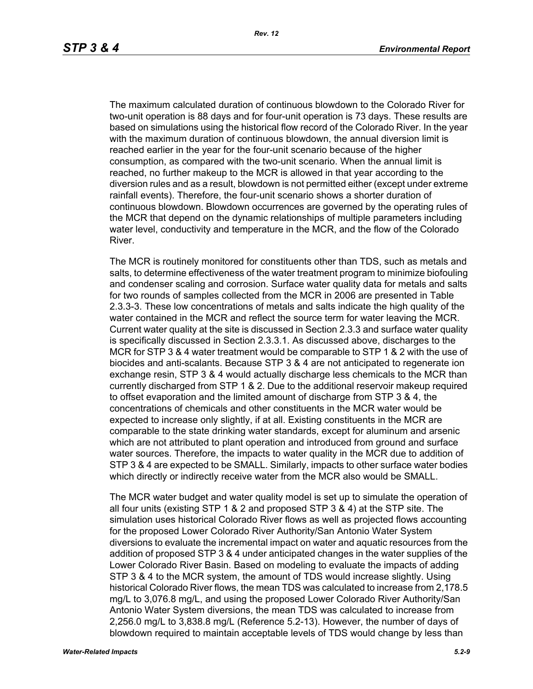The maximum calculated duration of continuous blowdown to the Colorado River for two-unit operation is 88 days and for four-unit operation is 73 days. These results are based on simulations using the historical flow record of the Colorado River. In the year with the maximum duration of continuous blowdown, the annual diversion limit is reached earlier in the year for the four-unit scenario because of the higher consumption, as compared with the two-unit scenario. When the annual limit is reached, no further makeup to the MCR is allowed in that year according to the diversion rules and as a result, blowdown is not permitted either (except under extreme rainfall events). Therefore, the four-unit scenario shows a shorter duration of continuous blowdown. Blowdown occurrences are governed by the operating rules of the MCR that depend on the dynamic relationships of multiple parameters including water level, conductivity and temperature in the MCR, and the flow of the Colorado River.

The MCR is routinely monitored for constituents other than TDS, such as metals and salts, to determine effectiveness of the water treatment program to minimize biofouling and condenser scaling and corrosion. Surface water quality data for metals and salts for two rounds of samples collected from the MCR in 2006 are presented in Table 2.3.3-3. These low concentrations of metals and salts indicate the high quality of the water contained in the MCR and reflect the source term for water leaving the MCR. Current water quality at the site is discussed in Section 2.3.3 and surface water quality is specifically discussed in Section 2.3.3.1. As discussed above, discharges to the MCR for STP 3 & 4 water treatment would be comparable to STP 1 & 2 with the use of biocides and anti-scalants. Because STP 3 & 4 are not anticipated to regenerate ion exchange resin, STP 3 & 4 would actually discharge less chemicals to the MCR than currently discharged from STP 1 & 2. Due to the additional reservoir makeup required to offset evaporation and the limited amount of discharge from STP 3 & 4, the concentrations of chemicals and other constituents in the MCR water would be expected to increase only slightly, if at all. Existing constituents in the MCR are comparable to the state drinking water standards, except for aluminum and arsenic which are not attributed to plant operation and introduced from ground and surface water sources. Therefore, the impacts to water quality in the MCR due to addition of STP 3 & 4 are expected to be SMALL. Similarly, impacts to other surface water bodies which directly or indirectly receive water from the MCR also would be SMALL.

The MCR water budget and water quality model is set up to simulate the operation of all four units (existing STP 1 & 2 and proposed STP 3 & 4) at the STP site. The simulation uses historical Colorado River flows as well as projected flows accounting for the proposed Lower Colorado River Authority/San Antonio Water System diversions to evaluate the incremental impact on water and aquatic resources from the addition of proposed STP 3 & 4 under anticipated changes in the water supplies of the Lower Colorado River Basin. Based on modeling to evaluate the impacts of adding STP 3 & 4 to the MCR system, the amount of TDS would increase slightly. Using historical Colorado River flows, the mean TDS was calculated to increase from 2,178.5 mg/L to 3,076.8 mg/L, and using the proposed Lower Colorado River Authority/San Antonio Water System diversions, the mean TDS was calculated to increase from 2,256.0 mg/L to 3,838.8 mg/L (Reference 5.2-13). However, the number of days of blowdown required to maintain acceptable levels of TDS would change by less than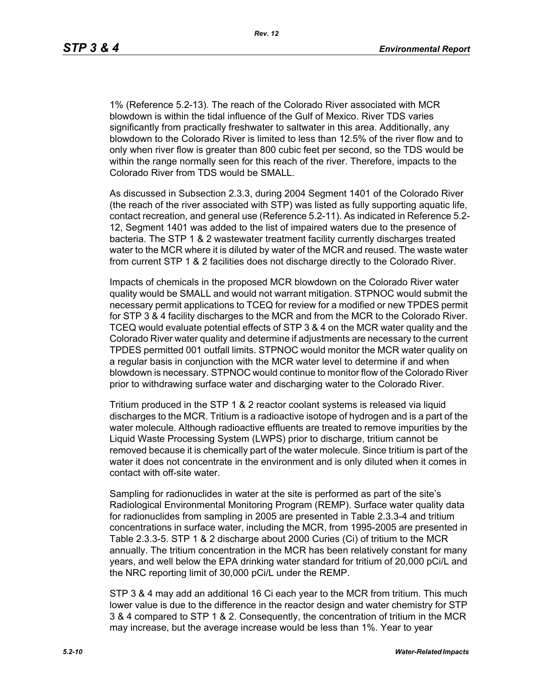*Rev. 12*

1% (Reference 5.2-13). The reach of the Colorado River associated with MCR blowdown is within the tidal influence of the Gulf of Mexico. River TDS varies significantly from practically freshwater to saltwater in this area. Additionally, any blowdown to the Colorado River is limited to less than 12.5% of the river flow and to only when river flow is greater than 800 cubic feet per second, so the TDS would be within the range normally seen for this reach of the river. Therefore, impacts to the Colorado River from TDS would be SMALL.

As discussed in Subsection 2.3.3, during 2004 Segment 1401 of the Colorado River (the reach of the river associated with STP) was listed as fully supporting aquatic life, contact recreation, and general use (Reference 5.2-11). As indicated in Reference 5.2- 12, Segment 1401 was added to the list of impaired waters due to the presence of bacteria. The STP 1 & 2 wastewater treatment facility currently discharges treated water to the MCR where it is diluted by water of the MCR and reused. The waste water from current STP 1 & 2 facilities does not discharge directly to the Colorado River.

Impacts of chemicals in the proposed MCR blowdown on the Colorado River water quality would be SMALL and would not warrant mitigation. STPNOC would submit the necessary permit applications to TCEQ for review for a modified or new TPDES permit for STP 3 & 4 facility discharges to the MCR and from the MCR to the Colorado River. TCEQ would evaluate potential effects of STP 3 & 4 on the MCR water quality and the Colorado River water quality and determine if adjustments are necessary to the current TPDES permitted 001 outfall limits. STPNOC would monitor the MCR water quality on a regular basis in conjunction with the MCR water level to determine if and when blowdown is necessary. STPNOC would continue to monitor flow of the Colorado River prior to withdrawing surface water and discharging water to the Colorado River.

Tritium produced in the STP 1 & 2 reactor coolant systems is released via liquid discharges to the MCR. Tritium is a radioactive isotope of hydrogen and is a part of the water molecule. Although radioactive effluents are treated to remove impurities by the Liquid Waste Processing System (LWPS) prior to discharge, tritium cannot be removed because it is chemically part of the water molecule. Since tritium is part of the water it does not concentrate in the environment and is only diluted when it comes in contact with off-site water.

Sampling for radionuclides in water at the site is performed as part of the site's Radiological Environmental Monitoring Program (REMP). Surface water quality data for radionuclides from sampling in 2005 are presented in Table 2.3.3-4 and tritium concentrations in surface water, including the MCR, from 1995-2005 are presented in Table 2.3.3-5. STP 1 & 2 discharge about 2000 Curies (Ci) of tritium to the MCR annually. The tritium concentration in the MCR has been relatively constant for many years, and well below the EPA drinking water standard for tritium of 20,000 pCi/L and the NRC reporting limit of 30,000 pCi/L under the REMP.

STP 3 & 4 may add an additional 16 Ci each year to the MCR from tritium. This much lower value is due to the difference in the reactor design and water chemistry for STP 3 & 4 compared to STP 1 & 2. Consequently, the concentration of tritium in the MCR may increase, but the average increase would be less than 1%. Year to year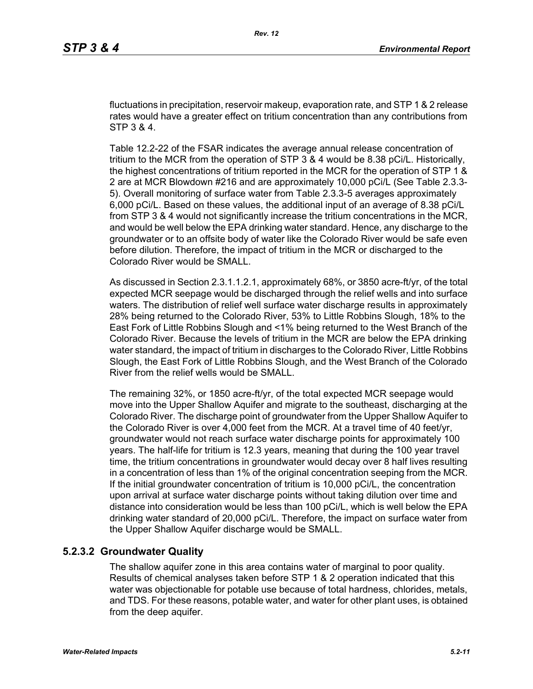fluctuations in precipitation, reservoir makeup, evaporation rate, and STP 1 & 2 release rates would have a greater effect on tritium concentration than any contributions from STP 3 & 4.

Table 12.2-22 of the FSAR indicates the average annual release concentration of tritium to the MCR from the operation of STP 3 & 4 would be 8.38 pCi/L. Historically, the highest concentrations of tritium reported in the MCR for the operation of STP 1 & 2 are at MCR Blowdown #216 and are approximately 10,000 pCi/L (See Table 2.3.3- 5). Overall monitoring of surface water from Table 2.3.3-5 averages approximately 6,000 pCi/L. Based on these values, the additional input of an average of 8.38 pCi/L from STP 3 & 4 would not significantly increase the tritium concentrations in the MCR, and would be well below the EPA drinking water standard. Hence, any discharge to the groundwater or to an offsite body of water like the Colorado River would be safe even before dilution. Therefore, the impact of tritium in the MCR or discharged to the Colorado River would be SMALL.

As discussed in Section 2.3.1.1.2.1, approximately 68%, or 3850 acre-ft/yr, of the total expected MCR seepage would be discharged through the relief wells and into surface waters. The distribution of relief well surface water discharge results in approximately 28% being returned to the Colorado River, 53% to Little Robbins Slough, 18% to the East Fork of Little Robbins Slough and <1% being returned to the West Branch of the Colorado River. Because the levels of tritium in the MCR are below the EPA drinking water standard, the impact of tritium in discharges to the Colorado River, Little Robbins Slough, the East Fork of Little Robbins Slough, and the West Branch of the Colorado River from the relief wells would be SMALL.

The remaining 32%, or 1850 acre-ft/yr, of the total expected MCR seepage would move into the Upper Shallow Aquifer and migrate to the southeast, discharging at the Colorado River. The discharge point of groundwater from the Upper Shallow Aquifer to the Colorado River is over 4,000 feet from the MCR. At a travel time of 40 feet/yr, groundwater would not reach surface water discharge points for approximately 100 years. The half-life for tritium is 12.3 years, meaning that during the 100 year travel time, the tritium concentrations in groundwater would decay over 8 half lives resulting in a concentration of less than 1% of the original concentration seeping from the MCR. If the initial groundwater concentration of tritium is 10,000 pCi/L, the concentration upon arrival at surface water discharge points without taking dilution over time and distance into consideration would be less than 100 pCi/L, which is well below the EPA drinking water standard of 20,000 pCi/L. Therefore, the impact on surface water from the Upper Shallow Aquifer discharge would be SMALL.

## **5.2.3.2 Groundwater Quality**

The shallow aquifer zone in this area contains water of marginal to poor quality. Results of chemical analyses taken before STP 1 & 2 operation indicated that this water was objectionable for potable use because of total hardness, chlorides, metals, and TDS. For these reasons, potable water, and water for other plant uses, is obtained from the deep aquifer.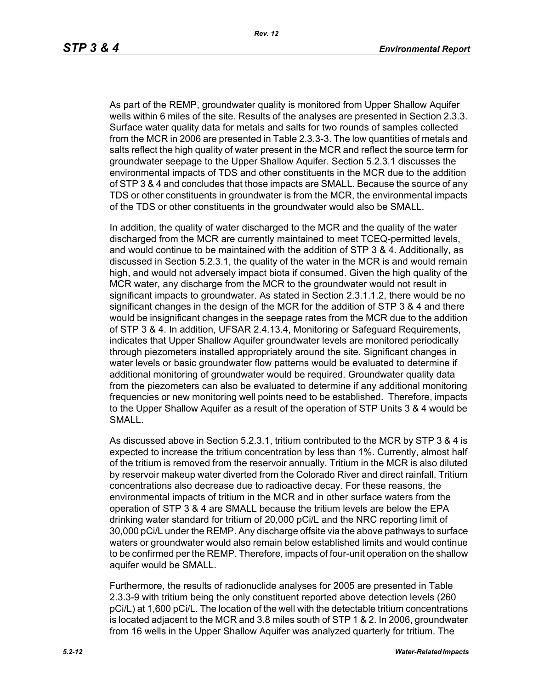As part of the REMP, groundwater quality is monitored from Upper Shallow Aquifer wells within 6 miles of the site. Results of the analyses are presented in Section 2.3.3. Surface water quality data for metals and salts for two rounds of samples collected from the MCR in 2006 are presented in Table 2.3.3-3. The low quantities of metals and salts reflect the high quality of water present in the MCR and reflect the source term for groundwater seepage to the Upper Shallow Aquifer. Section 5.2.3.1 discusses the environmental impacts of TDS and other constituents in the MCR due to the addition of STP 3 & 4 and concludes that those impacts are SMALL. Because the source of any TDS or other constituents in groundwater is from the MCR, the environmental impacts of the TDS or other constituents in the groundwater would also be SMALL.

In addition, the quality of water discharged to the MCR and the quality of the water discharged from the MCR are currently maintained to meet TCEQ-permitted levels, and would continue to be maintained with the addition of STP 3 & 4. Additionally, as discussed in Section 5.2.3.1, the quality of the water in the MCR is and would remain high, and would not adversely impact biota if consumed. Given the high quality of the MCR water, any discharge from the MCR to the groundwater would not result in significant impacts to groundwater. As stated in Section 2.3.1.1.2, there would be no significant changes in the design of the MCR for the addition of STP 3 & 4 and there would be insignificant changes in the seepage rates from the MCR due to the addition of STP 3 & 4. In addition, UFSAR 2.4.13.4, Monitoring or Safeguard Requirements, indicates that Upper Shallow Aquifer groundwater levels are monitored periodically through piezometers installed appropriately around the site. Significant changes in water levels or basic groundwater flow patterns would be evaluated to determine if additional monitoring of groundwater would be required. Groundwater quality data from the piezometers can also be evaluated to determine if any additional monitoring frequencies or new monitoring well points need to be established. Therefore, impacts to the Upper Shallow Aquifer as a result of the operation of STP Units 3 & 4 would be SMALL.

As discussed above in Section 5.2.3.1, tritium contributed to the MCR by STP 3 & 4 is expected to increase the tritium concentration by less than 1%. Currently, almost half of the tritium is removed from the reservoir annually. Tritium in the MCR is also diluted by reservoir makeup water diverted from the Colorado River and direct rainfall. Tritium concentrations also decrease due to radioactive decay. For these reasons, the environmental impacts of tritium in the MCR and in other surface waters from the operation of STP 3 & 4 are SMALL because the tritium levels are below the EPA drinking water standard for tritium of 20,000 pCi/L and the NRC reporting limit of 30,000 pCi/L under the REMP. Any discharge offsite via the above pathways to surface waters or groundwater would also remain below established limits and would continue to be confirmed per the REMP. Therefore, impacts of four-unit operation on the shallow aquifer would be SMALL.

Furthermore, the results of radionuclide analyses for 2005 are presented in Table 2.3.3-9 with tritium being the only constituent reported above detection levels (260 pCi/L) at 1,600 pCi/L. The location of the well with the detectable tritium concentrations is located adjacent to the MCR and 3.8 miles south of STP 1 & 2. In 2006, groundwater from 16 wells in the Upper Shallow Aquifer was analyzed quarterly for tritium. The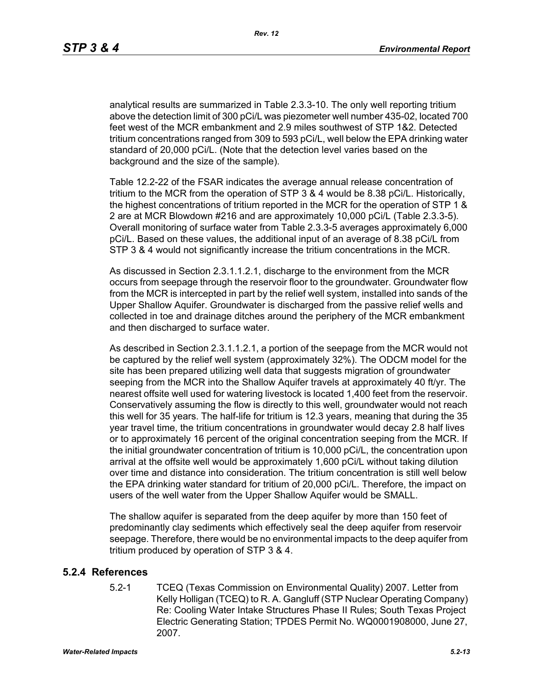analytical results are summarized in Table 2.3.3-10. The only well reporting tritium above the detection limit of 300 pCi/L was piezometer well number 435-02, located 700 feet west of the MCR embankment and 2.9 miles southwest of STP 1&2. Detected tritium concentrations ranged from 309 to 593 pCi/L, well below the EPA drinking water standard of 20,000 pCi/L. (Note that the detection level varies based on the background and the size of the sample).

Table 12.2-22 of the FSAR indicates the average annual release concentration of tritium to the MCR from the operation of STP 3 & 4 would be 8.38 pCi/L. Historically, the highest concentrations of tritium reported in the MCR for the operation of STP 1 & 2 are at MCR Blowdown #216 and are approximately 10,000 pCi/L (Table 2.3.3-5). Overall monitoring of surface water from Table 2.3.3-5 averages approximately 6,000 pCi/L. Based on these values, the additional input of an average of 8.38 pCi/L from STP 3 & 4 would not significantly increase the tritium concentrations in the MCR.

As discussed in Section 2.3.1.1.2.1, discharge to the environment from the MCR occurs from seepage through the reservoir floor to the groundwater. Groundwater flow from the MCR is intercepted in part by the relief well system, installed into sands of the Upper Shallow Aquifer. Groundwater is discharged from the passive relief wells and collected in toe and drainage ditches around the periphery of the MCR embankment and then discharged to surface water.

As described in Section 2.3.1.1.2.1, a portion of the seepage from the MCR would not be captured by the relief well system (approximately 32%). The ODCM model for the site has been prepared utilizing well data that suggests migration of groundwater seeping from the MCR into the Shallow Aquifer travels at approximately 40 ft/yr. The nearest offsite well used for watering livestock is located 1,400 feet from the reservoir. Conservatively assuming the flow is directly to this well, groundwater would not reach this well for 35 years. The half-life for tritium is 12.3 years, meaning that during the 35 year travel time, the tritium concentrations in groundwater would decay 2.8 half lives or to approximately 16 percent of the original concentration seeping from the MCR. If the initial groundwater concentration of tritium is 10,000 pCi/L, the concentration upon arrival at the offsite well would be approximately 1,600 pCi/L without taking dilution over time and distance into consideration. The tritium concentration is still well below the EPA drinking water standard for tritium of 20,000 pCi/L. Therefore, the impact on users of the well water from the Upper Shallow Aquifer would be SMALL.

The shallow aquifer is separated from the deep aquifer by more than 150 feet of predominantly clay sediments which effectively seal the deep aquifer from reservoir seepage. Therefore, there would be no environmental impacts to the deep aquifer from tritium produced by operation of STP 3 & 4.

## **5.2.4 References**

5.2-1 TCEQ (Texas Commission on Environmental Quality) 2007. Letter from Kelly Holligan (TCEQ) to R. A. Gangluff (STP Nuclear Operating Company) Re: Cooling Water Intake Structures Phase II Rules; South Texas Project Electric Generating Station; TPDES Permit No. WQ0001908000, June 27, 2007.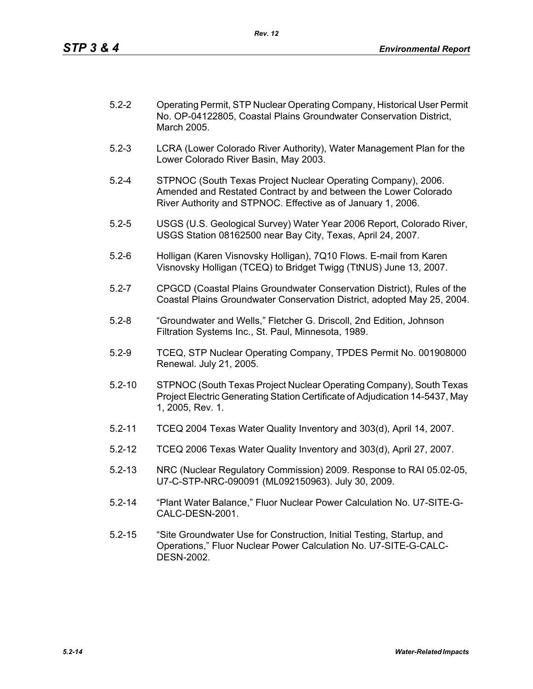| $5.2 - 2$ | Operating Permit, STP Nuclear Operating Company, Historical User Permit |
|-----------|-------------------------------------------------------------------------|
|           | No. OP-04122805, Coastal Plains Groundwater Conservation District,      |
|           | March 2005.                                                             |

- 5.2-3 LCRA (Lower Colorado River Authority), Water Management Plan for the Lower Colorado River Basin, May 2003.
- 5.2-4 STPNOC (South Texas Project Nuclear Operating Company), 2006. Amended and Restated Contract by and between the Lower Colorado River Authority and STPNOC. Effective as of January 1, 2006.
- 5.2-5 USGS (U.S. Geological Survey) Water Year 2006 Report, Colorado River, USGS Station 08162500 near Bay City, Texas, April 24, 2007.
- 5.2-6 Holligan (Karen Visnovsky Holligan), 7Q10 Flows. E-mail from Karen Visnovsky Holligan (TCEQ) to Bridget Twigg (TtNUS) June 13, 2007.
- 5.2-7 CPGCD (Coastal Plains Groundwater Conservation District), Rules of the Coastal Plains Groundwater Conservation District, adopted May 25, 2004.
- 5.2-8 "Groundwater and Wells," Fletcher G. Driscoll, 2nd Edition, Johnson Filtration Systems Inc., St. Paul, Minnesota, 1989.
- 5.2-9 TCEQ, STP Nuclear Operating Company, TPDES Permit No. 001908000 Renewal. July 21, 2005.
- 5.2-10 STPNOC (South Texas Project Nuclear Operating Company), South Texas Project Electric Generating Station Certificate of Adjudication 14-5437, May 1, 2005, Rev. 1.
- 5.2-11 TCEQ 2004 Texas Water Quality Inventory and 303(d), April 14, 2007.
- 5.2-12 TCEQ 2006 Texas Water Quality Inventory and 303(d), April 27, 2007.
- 5.2-13 NRC (Nuclear Regulatory Commission) 2009. Response to RAI 05.02-05, U7-C-STP-NRC-090091 (ML092150963). July 30, 2009.
- 5.2-14 "Plant Water Balance," Fluor Nuclear Power Calculation No. U7-SITE-G-CALC-DESN-2001.
- 5.2-15 "Site Groundwater Use for Construction, Initial Testing, Startup, and Operations," Fluor Nuclear Power Calculation No. U7-SITE-G-CALC-DESN-2002.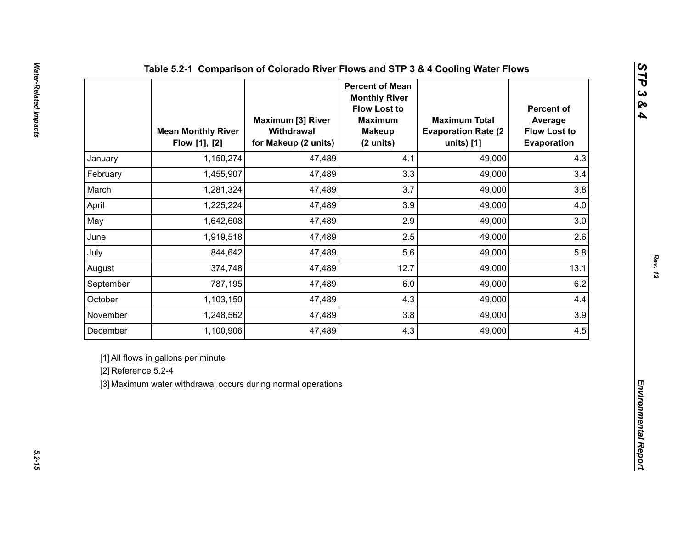|                     | <b>Mean Monthly River</b><br>Flow [1], [2]                                                          | <b>Maximum [3] River</b><br>Withdrawal<br>for Makeup (2 units) | <b>Percent of Mean</b><br><b>Monthly River</b><br><b>Flow Lost to</b><br><b>Maximum</b><br><b>Makeup</b><br>(2 units) | <b>Maximum Total</b><br><b>Evaporation Rate (2)</b><br>units) [1] | <b>Percent of</b><br>Average<br><b>Flow Lost to</b><br>Evaporation |  |
|---------------------|-----------------------------------------------------------------------------------------------------|----------------------------------------------------------------|-----------------------------------------------------------------------------------------------------------------------|-------------------------------------------------------------------|--------------------------------------------------------------------|--|
| January             | 1,150,274                                                                                           | 47,489                                                         | 4.1                                                                                                                   | 49,000                                                            | 4.3                                                                |  |
| February            | 1,455,907                                                                                           | 47,489                                                         | 3.3                                                                                                                   | 49,000                                                            | 3.4                                                                |  |
| March               | 1,281,324                                                                                           | 47,489                                                         | 3.7                                                                                                                   | 49,000                                                            | 3.8                                                                |  |
| April               | 1,225,224                                                                                           | 47,489                                                         | 3.9                                                                                                                   | 49,000                                                            | 4.0                                                                |  |
| May                 | 1,642,608                                                                                           | 47,489                                                         | 2.9                                                                                                                   | 49,000                                                            | 3.0                                                                |  |
| June                | 1,919,518                                                                                           | 47,489                                                         | 2.5                                                                                                                   | 49,000                                                            | 2.6                                                                |  |
| July                | 844,642                                                                                             | 47,489                                                         | 5.6                                                                                                                   | 49,000                                                            | 5.8                                                                |  |
| August              | 374,748                                                                                             | 47,489                                                         | 12.7                                                                                                                  | 49,000                                                            | 13.1                                                               |  |
| September           | 787,195                                                                                             | 47,489                                                         | 6.0                                                                                                                   | 49,000                                                            | 6.2                                                                |  |
| October             | 1,103,150                                                                                           | 47,489                                                         | 4.3                                                                                                                   | 49,000                                                            | 4.4                                                                |  |
| November            | 1,248,562                                                                                           | 47,489                                                         | 3.8                                                                                                                   | 49,000                                                            | 3.9                                                                |  |
| December            | 1,100,906                                                                                           | 47,489                                                         | 4.3                                                                                                                   | 49,000                                                            | 4.5                                                                |  |
| [2] Reference 5.2-4 | [1] All flows in gallons per minute<br>[3] Maximum water withdrawal occurs during normal operations |                                                                |                                                                                                                       |                                                                   |                                                                    |  |

*STP 3 & 4*